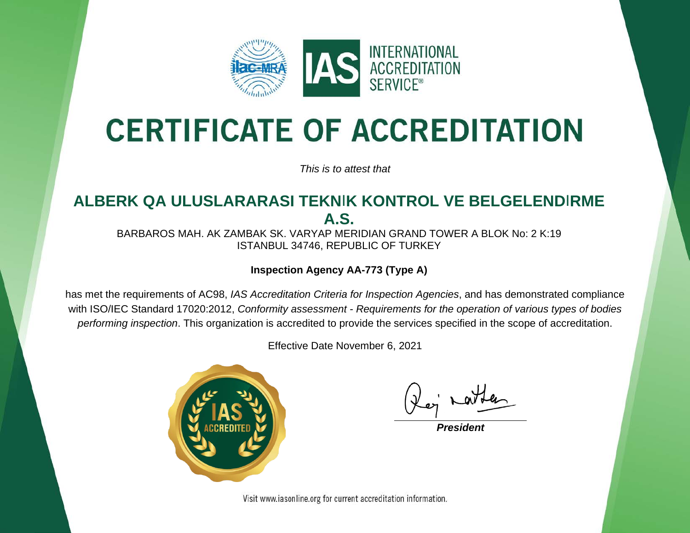

# **CERTIFICATE OF ACCREDITATION**

*This is to attest that*

### **ALBERK QA ULUSLARARASI TEKN**I**K KONTROL VE BELGELEND**I**RME A.S.**

BARBAROS MAH. AK ZAMBAK SK. VARYAP MERIDIAN GRAND TOWER A BLOK No: 2 K:19 ISTANBUL 34746, REPUBLIC OF TURKEY

#### **Inspection Agency AA-773 (Type A)**

has met the requirements of AC98, *IAS Accreditation Criteria for Inspection Agencies*, and has demonstrated compliance with ISO/IEC Standard 17020:2012, *Conformity assessment - Requirements for the operation of various types of bodies performing inspection*. This organization is accredited to provide the services specified in the scope of accreditation.

Effective Date November 6, 2021



*President*

Visit www.iasonline.org for current accreditation information.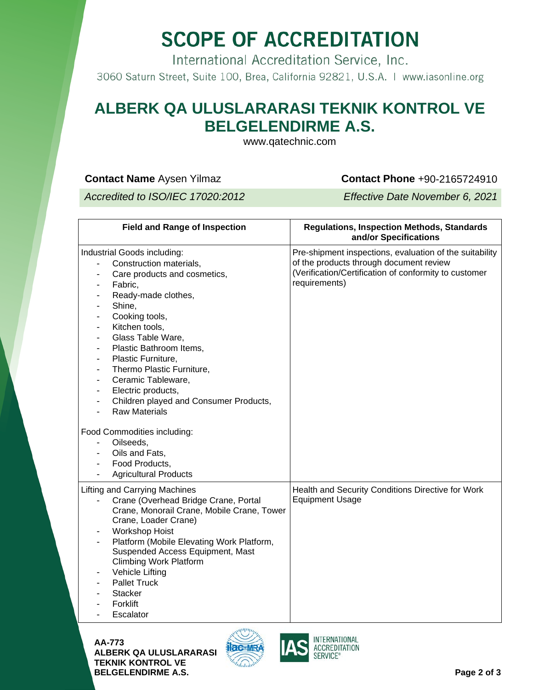## **SCOPE OF ACCREDITATION**

International Accreditation Service, Inc.

3060 Saturn Street, Suite 100, Brea, California 92821, U.S.A. | www.iasonline.org

### **ALBERK QA ULUSLARARASI TEKNIK KONTROL VE BELGELENDIRME A.S.**

www.qatechnic.com

#### **Contact Name** Aysen Yilmaz **Contact Phone +90-2165724910**

*Accredited to ISO/IEC 17020:2012 Effective Date November 6, 2021*

| <b>Field and Range of Inspection</b>                                                                                                                                                                                                                                                                                                                                                                                                                                                                                                                                                                                                                                                                                                                                                                                                                                   | <b>Regulations, Inspection Methods, Standards</b><br>and/or Specifications                                                                                                   |
|------------------------------------------------------------------------------------------------------------------------------------------------------------------------------------------------------------------------------------------------------------------------------------------------------------------------------------------------------------------------------------------------------------------------------------------------------------------------------------------------------------------------------------------------------------------------------------------------------------------------------------------------------------------------------------------------------------------------------------------------------------------------------------------------------------------------------------------------------------------------|------------------------------------------------------------------------------------------------------------------------------------------------------------------------------|
| Industrial Goods including:<br>Construction materials,<br>Care products and cosmetics,<br>$\overline{\phantom{a}}$<br>Fabric,<br>$\overline{\phantom{a}}$<br>Ready-made clothes,<br>$\overline{\phantom{a}}$<br>Shine,<br>$\overline{\phantom{a}}$<br>Cooking tools,<br>$\overline{\phantom{a}}$<br>Kitchen tools,<br>$\overline{\phantom{a}}$<br>Glass Table Ware,<br>$\overline{\phantom{a}}$<br>Plastic Bathroom Items,<br>$\overline{\phantom{a}}$<br>Plastic Furniture,<br>$\overline{\phantom{a}}$<br>Thermo Plastic Furniture,<br>$\overline{\phantom{a}}$<br>Ceramic Tableware,<br>$\overline{\phantom{a}}$<br>Electric products,<br>$\overline{\phantom{a}}$<br>Children played and Consumer Products,<br>$\overline{\phantom{a}}$<br><b>Raw Materials</b><br>$\overline{a}$<br>Food Commodities including:<br>Oilseeds,<br>$\sim$ 10 $\pm$<br>Oils and Fats, | Pre-shipment inspections, evaluation of the suitability<br>of the products through document review<br>(Verification/Certification of conformity to customer<br>requirements) |
| Food Products,<br>$\overline{\phantom{a}}$<br><b>Agricultural Products</b>                                                                                                                                                                                                                                                                                                                                                                                                                                                                                                                                                                                                                                                                                                                                                                                             |                                                                                                                                                                              |
| <b>Lifting and Carrying Machines</b><br>Crane (Overhead Bridge Crane, Portal<br>$\sim$<br>Crane, Monorail Crane, Mobile Crane, Tower<br>Crane, Loader Crane)<br><b>Workshop Hoist</b><br>$\overline{\phantom{a}}$<br>Platform (Mobile Elevating Work Platform,<br>Suspended Access Equipment, Mast<br><b>Climbing Work Platform</b><br>Vehicle Lifting<br>$\overline{\phantom{a}}$<br><b>Pallet Truck</b><br><b>Stacker</b><br>Forklift<br>Escalator                                                                                                                                                                                                                                                                                                                                                                                                                   | Health and Security Conditions Directive for Work<br><b>Equipment Usage</b>                                                                                                  |

**AA-773 ALBERK QA ULUSLARARASI TEKNIK KONTROL VE BELGELENDIRME A.S. Page 2 of 3**